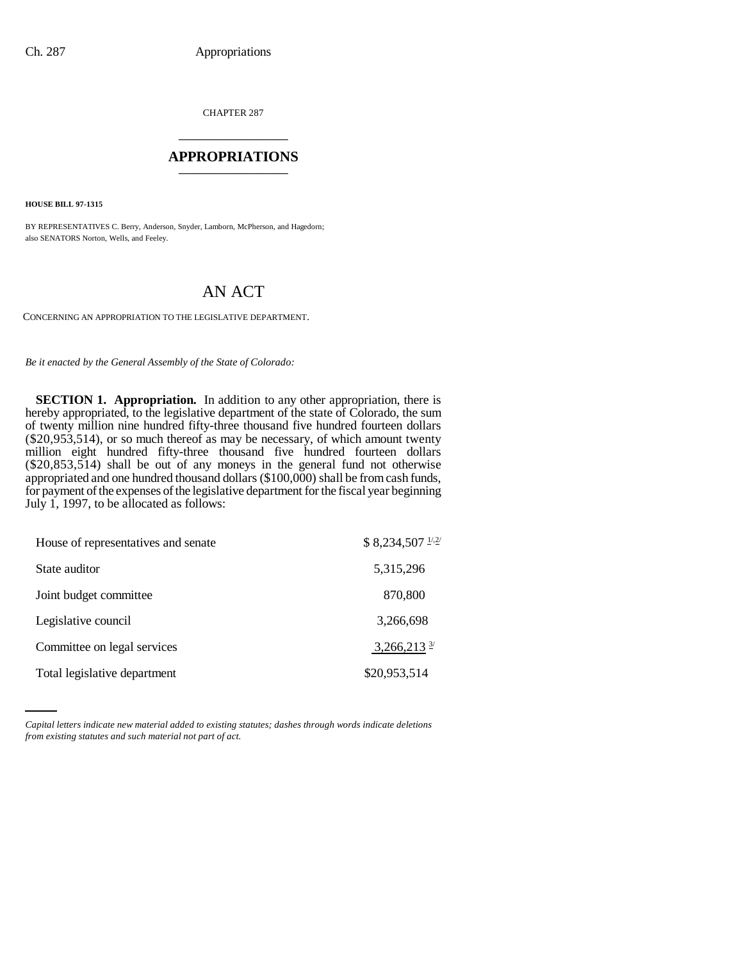CHAPTER 287 \_\_\_\_\_\_\_\_\_\_\_\_\_\_\_

## **APPROPRIATIONS** \_\_\_\_\_\_\_\_\_\_\_\_\_\_\_

**HOUSE BILL 97-1315**

BY REPRESENTATIVES C. Berry, Anderson, Snyder, Lamborn, McPherson, and Hagedorn; also SENATORS Norton, Wells, and Feeley.

## AN ACT

CONCERNING AN APPROPRIATION TO THE LEGISLATIVE DEPARTMENT.

*Be it enacted by the General Assembly of the State of Colorado:*

**SECTION 1. Appropriation.** In addition to any other appropriation, there is hereby appropriated, to the legislative department of the state of Colorado, the sum of twenty million nine hundred fifty-three thousand five hundred fourteen dollars (\$20,953,514), or so much thereof as may be necessary, of which amount twenty million eight hundred fifty-three thousand five hundred fourteen dollars (\$20,853,514) shall be out of any moneys in the general fund not otherwise appropriated and one hundred thousand dollars (\$100,000) shall be from cash funds, for payment of the expenses of the legislative department for the fiscal year beginning July 1, 1997, to be allocated as follows:

| House of representatives and senate | $$8,234,507$ $1/2/$       |
|-------------------------------------|---------------------------|
| State auditor                       | 5,315,296                 |
| Joint budget committee              | 870,800                   |
| Legislative council                 | 3,266,698                 |
| Committee on legal services         | $3,266,213$ <sup>3/</sup> |
| Total legislative department        | \$20,953,514              |

*Capital letters indicate new material added to existing statutes; dashes through words indicate deletions from existing statutes and such material not part of act.*